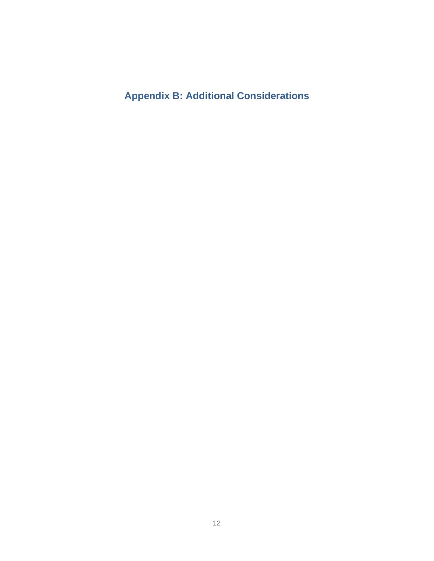**Appendix B: Additional Considerations**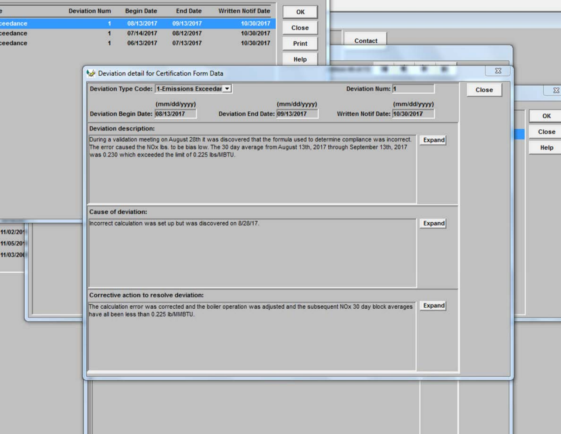|           | <b>Begin Date</b><br><b>Deviation Num</b><br><b>End Date</b><br><b>Written Notif Date</b>                                                                                                                                                         | OK                      |               |                     |  |  |  |  |  |
|-----------|---------------------------------------------------------------------------------------------------------------------------------------------------------------------------------------------------------------------------------------------------|-------------------------|---------------|---------------------|--|--|--|--|--|
| ceedance  | 08/13/2017<br>09/13/2017<br>10/30/2017<br>и                                                                                                                                                                                                       | Close                   |               |                     |  |  |  |  |  |
| ceedance  | 07/14/2017<br>08/12/2017<br>10/30/2017<br>п                                                                                                                                                                                                       |                         |               |                     |  |  |  |  |  |
| ceedance  | 06/13/2017<br>10/30/2017<br>07/13/2017<br>я                                                                                                                                                                                                       | Contact<br>Print        |               |                     |  |  |  |  |  |
|           |                                                                                                                                                                                                                                                   | Help                    |               |                     |  |  |  |  |  |
|           |                                                                                                                                                                                                                                                   |                         |               | $\Sigma\!$          |  |  |  |  |  |
|           | Deviation detail for Certification Form Data                                                                                                                                                                                                      |                         |               |                     |  |  |  |  |  |
|           | Deviation Type Code: 1-Emissions Exceedar v                                                                                                                                                                                                       | <b>Deviation Num: 1</b> |               | $\Sigma\!$<br>Close |  |  |  |  |  |
|           | (mm/dd/yyyy)                                                                                                                                                                                                                                      | (mm/dd/yyyy)            | (mm/dd/yyyy)  |                     |  |  |  |  |  |
|           | Deviation Begin Date: 08/13/2017<br>Written Notif Date: 10/30/2017<br>Deviation End Date: 09/13/2017<br><b>Deviation description:</b>                                                                                                             |                         |               |                     |  |  |  |  |  |
|           |                                                                                                                                                                                                                                                   |                         |               |                     |  |  |  |  |  |
|           |                                                                                                                                                                                                                                                   |                         |               |                     |  |  |  |  |  |
|           | During a validation meeting on August 28th it was discovered that the formula used to determine compliance was incorrect.<br>The error caused the NOx lbs. to be bias low. The 30 day average from August 13th, 2017 through September 13th, 2017 | <b>Expand</b>           | Help          |                     |  |  |  |  |  |
|           | was 0.230 which exceeded the limit of 0.225 lbs/MBTU.                                                                                                                                                                                             |                         |               |                     |  |  |  |  |  |
|           |                                                                                                                                                                                                                                                   |                         |               |                     |  |  |  |  |  |
|           |                                                                                                                                                                                                                                                   |                         |               |                     |  |  |  |  |  |
|           |                                                                                                                                                                                                                                                   |                         |               |                     |  |  |  |  |  |
|           |                                                                                                                                                                                                                                                   |                         |               |                     |  |  |  |  |  |
|           |                                                                                                                                                                                                                                                   |                         |               |                     |  |  |  |  |  |
|           | <b>Cause of deviation:</b>                                                                                                                                                                                                                        |                         |               |                     |  |  |  |  |  |
|           | Incorrect calculation was set up but was discovered on 8/28/17.                                                                                                                                                                                   |                         | <b>Expand</b> |                     |  |  |  |  |  |
| 11/02/201 |                                                                                                                                                                                                                                                   |                         |               |                     |  |  |  |  |  |
| 11/05/201 |                                                                                                                                                                                                                                                   |                         |               |                     |  |  |  |  |  |
| 11/03/200 |                                                                                                                                                                                                                                                   |                         |               |                     |  |  |  |  |  |
|           |                                                                                                                                                                                                                                                   |                         |               |                     |  |  |  |  |  |
|           |                                                                                                                                                                                                                                                   |                         |               |                     |  |  |  |  |  |
|           | Corrective action to resolve deviation:                                                                                                                                                                                                           |                         |               |                     |  |  |  |  |  |
|           | The calculation error was corrected and the boiler operation was adjusted and the subsequent NOx 30 day block averages                                                                                                                            |                         | Expand        |                     |  |  |  |  |  |
|           | have all been less than 0.225 lb/MMBTU.                                                                                                                                                                                                           |                         |               |                     |  |  |  |  |  |
|           |                                                                                                                                                                                                                                                   |                         |               |                     |  |  |  |  |  |
|           |                                                                                                                                                                                                                                                   |                         |               |                     |  |  |  |  |  |
|           |                                                                                                                                                                                                                                                   |                         |               |                     |  |  |  |  |  |
|           |                                                                                                                                                                                                                                                   |                         |               |                     |  |  |  |  |  |
|           |                                                                                                                                                                                                                                                   |                         |               |                     |  |  |  |  |  |
|           |                                                                                                                                                                                                                                                   |                         |               |                     |  |  |  |  |  |
|           |                                                                                                                                                                                                                                                   |                         |               |                     |  |  |  |  |  |
|           |                                                                                                                                                                                                                                                   |                         |               |                     |  |  |  |  |  |
|           |                                                                                                                                                                                                                                                   |                         |               |                     |  |  |  |  |  |
|           |                                                                                                                                                                                                                                                   |                         |               |                     |  |  |  |  |  |
|           |                                                                                                                                                                                                                                                   |                         |               |                     |  |  |  |  |  |
|           |                                                                                                                                                                                                                                                   |                         |               |                     |  |  |  |  |  |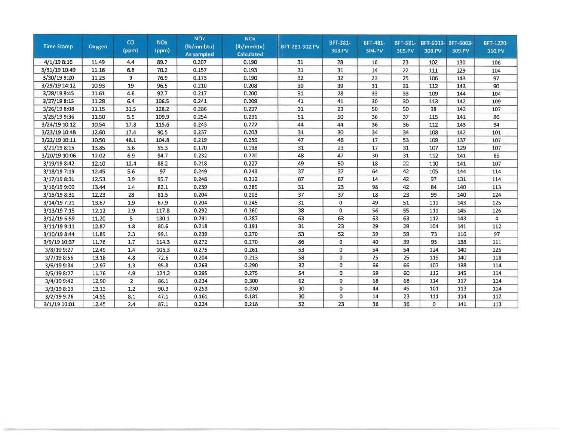| <b>Time Stamp</b> | Oxygen | CO<br>(ppm) | <b>NO<sub>x</sub></b><br>(ppm) | <b>NOx</b><br>(lb/mmbtu)<br><b>As sampled</b> | <b>NOx</b><br>(lb/mmbtu)<br><b>Calculated</b> | BFT-281-302.PV | BFT-381-<br>303.PV | <b>BFT-481-</b><br>304.PV | BFT-581-<br>305.PV | BFT-6003-<br>308.PV | BFT-6003-<br>309.PV | BFT-1220-<br>310.PV |
|-------------------|--------|-------------|--------------------------------|-----------------------------------------------|-----------------------------------------------|----------------|--------------------|---------------------------|--------------------|---------------------|---------------------|---------------------|
| 4/1/198:16        | 11.49  | 4.4         | 89.7                           | 0.207                                         | 0.190                                         | 31             | 28                 | 16                        | 23                 | 102                 | 130                 | 106                 |
| 3/31/19 10:49     | 11.16  | 6.8         | 70.2                           | 0.157                                         | 0.193                                         | 31             | 31                 | 14                        | 22                 | 111                 | 129                 | 104                 |
| 3/30/19 9:20      | 11.23  | 9           | 76.9                           | 0.173                                         | 0.190                                         | 32             | 32                 | 23                        | 25                 | 106                 | 143                 | 97                  |
| 3/29/19 14:12     | 10.93  | 19          | 96.5                           | 0.210                                         | 0.208                                         | 39             | 39                 | 31                        | 31                 | 112                 | 143                 | 90                  |
| 3/28/19 9:45      | 11.61  | 4.6         | 92.7                           | 0.217                                         | 0.200                                         | 31             | 28                 | 33                        | 33                 | 109                 | 144                 | 104                 |
| 3/27/19 8:15      | 11.28  | 6.4         | 106.5                          | 0.241                                         | 0.209                                         | 41             | 41                 | 30                        | 30                 | 113                 | 142                 | 109                 |
| 3/26/19 8:08      | 11.15  | 31.5        | 128.2                          | 0.286                                         | 0.237                                         | 31             | 23                 | 50                        | 50                 | 98                  | 142                 | 107                 |
| 3/25/19 9:36      | 11.50  | 5.5         | 109.9                          | 0.254                                         | 0.231                                         | 51             | 50                 | 36                        | 37                 | 115                 | 141                 | 86                  |
| 3/24/19 10:12     | 10.54  | 17.8        | 115.6                          | 0.243                                         | 0.222                                         | 44             | 44                 | 36                        | 36                 | 112                 | 143                 | 94                  |
| 3/23/19 10:48     | 12.60  | 17.4        | 90.5                           | 0.237                                         | 0.203                                         | 31             | 30                 | 34                        | 34                 | 108                 | 142                 | 101                 |
| 3/22/19 10:11     | 10.50  | 48.1        | 104.8                          | 0.219                                         | 0.259                                         | 47             | 46                 | 17                        | 53                 | 109                 | 137                 | 107                 |
| 3/21/19 8:15      | 13.85  | 5.6         | 55.3                           | 0.170                                         | 0.198                                         | 31             | 23                 | 17                        | 31                 | 107                 | 129                 | 107                 |
| 3/20/19 10:06     | 12.02  | 6.9         | 94.7                           | 0.232                                         | 0.220                                         | 48             | 47                 | 30                        | 31                 | 112                 | 141                 | 85                  |
| 3/19/19 8:42      | 12.10  | 12.4        | 88.2                           | 0.218                                         | 0.227                                         | 49             | 50                 | 18                        | 22                 | 110                 | 141                 | 107                 |
| 3/18/19 7:19      | 12.45  | 5.6         | 97                             | 0.249                                         | 0.243                                         | 37             | 37                 | 64                        | 42                 | 105                 | 144                 | 114                 |
| 3/17/19 8:31      | 12.53  | 3.9         | 95.7                           | 0.248                                         | 0.312                                         | 87             | 87                 | 14                        | 42                 | 97                  | 131                 | 114                 |
| 3/16/19 9:00      | 13.44  | 1.4         | 82.1                           | 0.239                                         | 0.289                                         | 31             | 23                 | 98                        | 42                 | 84                  | 140                 | 113                 |
| 3/15/19 8:31      | 12.23  | 28          | 81.5                           | 0.204                                         | 0.203                                         | 37             | 37                 | 18                        | 23                 | 99                  | 140                 | 124                 |
| 3/14/19 7:21      | 13.67  | 1.9         | 67.9                           | 0.204                                         | 0.245                                         | 31             | 0                  | 49                        | 51                 | 111                 | 143                 | 125                 |
| 3/13/19 7:15      | 12.12  | 2.9         | 117.8                          | 0.292                                         | 0.260                                         | 38             | 0                  | 56                        | 55                 | 111                 | 145                 | 126                 |
| 3/12/19 6:59      | 11.20  | 5           | 130.1                          | 0.291                                         | 0.287                                         | 63             | 63                 | 63                        | 63                 | 112                 | 143                 | 4                   |
| 3/11/19 9:11      | 12.87  | 1.8         | 80.6                           | 0.218                                         | 0.191                                         | 31             | 23                 | 29                        | 29                 | 104                 | 141                 | 112                 |
| 3/10/19 8:44      | 11.89  | 2.3         | 99.1                           | 0.239                                         | 0.270                                         | 53             | 52                 | 59                        | 59                 | 73                  | 116                 | 97                  |
| 3/9/19 10:37      | 11.76  | 1.7         | 114.3                          | 0.272                                         | 0.270                                         | 86             | $\mathbf{0}$       | 40                        | 39                 | 95                  | 138                 | 111                 |
| 3/8/19 9:27       | 12.49  | 1.4         | 106.3                          | 0.275                                         | 0.261                                         | 53             | $\Omega$           | 54                        | 54                 | 124                 | 140                 | 125                 |
| 3/7/19 8:56       | 13.18  | 4.8         | 72.6                           | 0.204                                         | 0.213                                         | 58             | $\mathbf{0}$       | 25                        | 25                 | 119                 | 140                 | 118                 |
| 3/6/19 9:34       | 12.97  | 1.3         | 95.8                           | 0.263                                         | 0.290                                         | 32             | 0                  | 66                        | 66                 | 107                 | 138                 | 114                 |
| 3/5/19 8:27       | 11.76  | 4.9         | 124.2                          | 0.295                                         | 0.275                                         | 54             | 0                  | 59                        | 60                 | 112                 | 145                 | 114                 |
| 3/4/19 9:42       | 12.90  | 2           | 86.1                           | 0.234                                         | 0.300                                         | 62             | 0                  | 68                        | 68                 | 114                 | 117                 | 114                 |
| 3/3/198:13        | 13.13  | 1.2         | 90.3                           | 0.253                                         | 0.230                                         | 30             | $\mathbf{0}$       | 44                        | 45                 | 101                 | 113                 | 114                 |
| 3/2/19 9:26       | 14.55  | 8.1         | 47.1                           | 0.161                                         | 0.181                                         | 30             | $\mathbf{0}$       | 14                        | 23                 | 111                 | 114                 | 112                 |
| 3/1/19 10:01      | 12.45  | 2.4         | 87.1                           | 0.224                                         | 0.218                                         | 52             | 23                 | 36                        | 36                 | $\Omega$            | 141                 | 113                 |